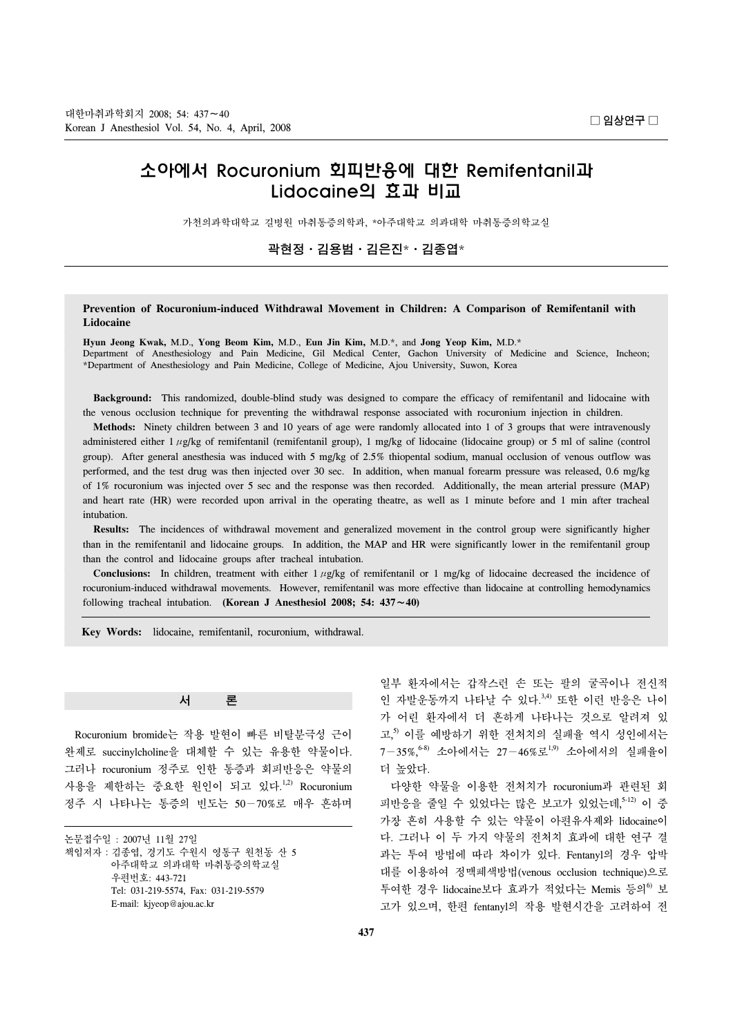# 소아에서 Rocuronium 회피반응에 대한 Remifentanil과 Lidocaine의 효과 비교

가천의과학대학교 길병원 마취통증의학과, \*아주대학교 의과대학 마취통증의학교실

곽현정ㆍ김용범ㆍ김은진\*ㆍ김종엽\*

### **Prevention of Rocuronium-induced Withdrawal Movement in Children: A Comparison of Remifentanil with Lidocaine**

**Hyun Jeong Kwak,** M.D., **Yong Beom Kim,** M.D., **Eun Jin Kim,** M.D.\*, and **Jong Yeop Kim,** M.D.\* Department of Anesthesiology and Pain Medicine, Gil Medical Center, Gachon University of Medicine and Science, Incheon; \*Department of Anesthesiology and Pain Medicine, College of Medicine, Ajou University, Suwon, Korea

 **Background:** This randomized, double-blind study was designed to compare the efficacy of remifentanil and lidocaine with the venous occlusion technique for preventing the withdrawal response associated with rocuronium injection in children.

 **Methods:** Ninety children between 3 and 10 years of age were randomly allocated into 1 of 3 groups that were intravenously administered either 1  $\mu$ g/kg of remifentanil (remifentanil group), 1 mg/kg of lidocaine (lidocaine group) or 5 ml of saline (control group). After general anesthesia was induced with 5 mg/kg of 2.5% thiopental sodium, manual occlusion of venous outflow was performed, and the test drug was then injected over 30 sec. In addition, when manual forearm pressure was released, 0.6 mg/kg of 1% rocuronium was injected over 5 sec and the response was then recorded. Additionally, the mean arterial pressure (MAP) and heart rate (HR) were recorded upon arrival in the operating theatre, as well as 1 minute before and 1 min after tracheal intubation.

 **Results:** The incidences of withdrawal movement and generalized movement in the control group were significantly higher than in the remifentanil and lidocaine groups. In addition, the MAP and HR were significantly lower in the remifentanil group than the control and lidocaine groups after tracheal intubation.

**Conclusions:** In children, treatment with either  $1 \mu g/kg$  of remifentanil or  $1 \mu g/kg$  of lidocaine decreased the incidence of rocuronium-induced withdrawal movements. However, remifentanil was more effective than lidocaine at controlling hemodynamics following tracheal intubation. **(Korean J Anesthesiol 2008; 54: 437**∼**40)**

**Key Words:** lidocaine, remifentanil, rocuronium, withdrawal.

#### 서 론

 Rocuronium bromide는 작용 발현이 빠른 비탈분극성 근이 완제로 succinylcholine을 대체할 수 있는 유용한 약물이다. 그러나 rocuronium 정주로 인한 통증과 회피반응은 약물의 사용을 제한하는 중요한 원인이 되고 있다.<sup>1,2)</sup> Rocuronium 정주 시 나타나는 통증의 빈도는 50−70%로 매우 흔하며

논문접수일 : 2007년 11월 27일 책임저자:김종엽, 경기도 수원시 영통구 원천동 산 5 아주대학교 의과대학 마취통증의학교실 우편번호: 443-721 Tel: 031-219-5574, Fax: 031-219-5579 E-mail: kjyeop@ajou.ac.kr

일부 환자에서는 갑작스런 손 또는 팔의 굴곡이나 전신적 인 자발운동까지 나타날 수 있다.<sup>3,4)</sup> 또한 이런 반응은 나이 가 어린 환자에서 더 흔하게 나타나는 것으로 알려져 있 고, 5) 이를 예방하기 위한 전처치의 실패율 역시 성인에서는 7−35%,6-8) 소아에서는 27−46%로1,9) 소아에서의 실패율이 더 높았다.

 다양한 약물을 이용한 전처치가 rocuronium과 관련된 회 피반응을 줄일 수 있었다는 많은 보고가 있었는데, 5-12) 이 중 가장 흔히 사용할 수 있는 약물이 아편유사제와 lidocaine이 다. 그러나 이 두 가지 약물의 전처치 효과에 대한 연구 결 과는 투여 방법에 따라 차이가 있다. Fentanyl의 경우 압박 대를 이용하여 정맥폐색방법(venous occlusion technique)으로 투여한 경우 lidocaine보다 효과가 적었다는 Memis 등의<sup>6)</sup> 보 고가 있으며, 한편 fentanyl의 작용 발현시간을 고려하여 전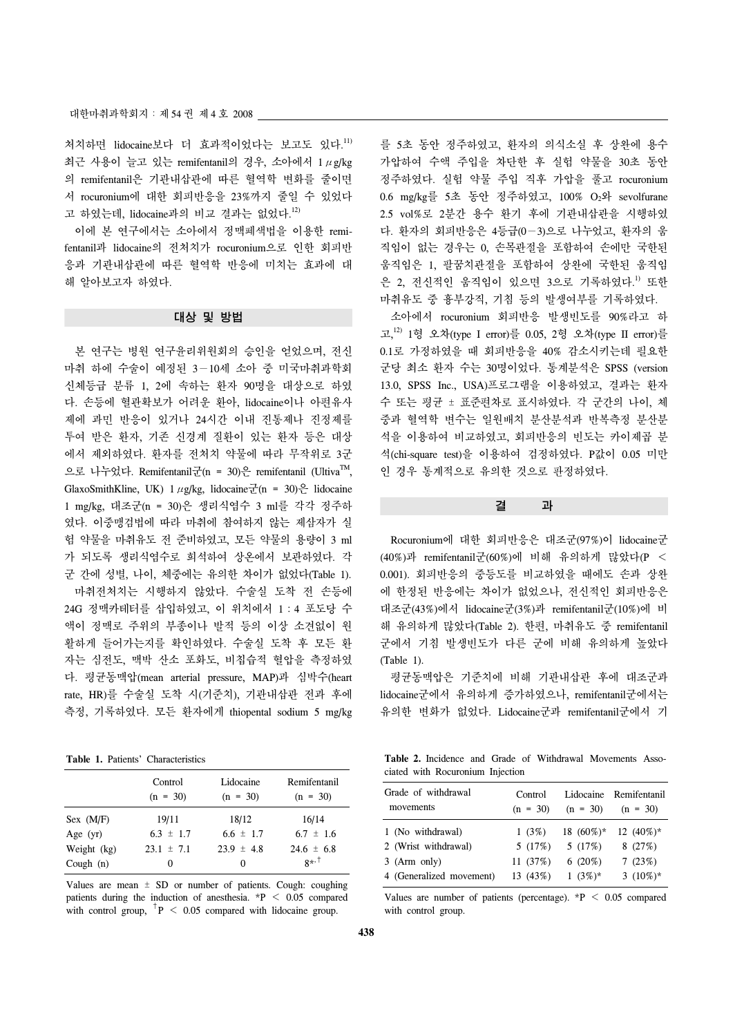처치하면 lidocaine보다 더 효과적이었다는 보고도 있다.<sup>11)</sup> 최근 사용이 늘고 있는 remifentanil의 경우, 소아에서 1μg/kg 의 remifentanil은 기관내삽관에 따른 혈역학 변화를 줄이면 서 rocuronium에 대한 회피반응을 23%까지 줄일 수 있었다 고 하였는데, lidocaine과의 비교 결과는 없었다.<sup>12)</sup>

 이에 본 연구에서는 소아에서 정맥폐색법을 이용한 remifentanil과 lidocaine의 전처치가 rocuronium으로 인한 회피반 응과 기관내삽관에 따른 혈역학 반응에 미치는 효과에 대 해 알아보고자 하였다.

## 대상 및 방법

 본 연구는 병원 연구윤리위원회의 승인을 얻었으며, 전신 마취 하에 수술이 예정된 3−10세 소아 중 미국마취과학회 신체등급 분류 1, 2에 속하는 환자 90명을 대상으로 하였 다. 손등에 혈관확보가 어려운 환아, lidocaine이나 아편유사 제에 과민 반응이 있거나 24시간 이내 진통제나 진정제를 투여 받은 환자, 기존 신경계 질환이 있는 환자 등은 대상 에서 제외하였다. 환자를 전처치 약물에 따라 무작위로 3군 으로 나누었다. Remifentanil군(n = 30)은 remifentanil (Ultiva<sup>TM</sup>, GlaxoSmithKline, UK)  $1 \mu$ g/kg, lidocaine군(n = 30)은 lidocaine 1 mg/kg, 대조군(n = 30)은 생리식염수 3 ml를 각각 정주하 였다. 이중맹검법에 따라 마취에 참여하지 않는 제삼자가 실 험 약물을 마취유도 전 준비하였고, 모든 약물의 용량이 3 ml 가 되도록 생리식염수로 희석하여 상온에서 보관하였다. 각 군 간에 성별, 나이, 체중에는 유의한 차이가 없었다(Table 1). 마취전처치는 시행하지 않았다. 수술실 도착 전 손등에 24G 정맥카테터를 삽입하였고, 이 위치에서 1:4 포도당 수 액이 정맥로 주위의 부종이나 발적 등의 이상 소견없이 원 활하게 들어가는지를 확인하였다. 수술실 도착 후 모든 환 자는 심전도, 맥박 산소 포화도, 비칩습적 혈압을 측정하였 다. 평균동맥압(mean arterial pressure, MAP)과 심박수(heart rate, HR)를 수술실 도착 시(기준치), 기관내삽관 전과 후에 측정, 기록하였다. 모든 환자에게 thiopental sodium 5 mg/kg

**Table 1.** Patients' Characteristics

|             | Control<br>$(n = 30)$ | Lidocaine<br>$(n = 30)$ | Remifentanil<br>$(n = 30)$ |
|-------------|-----------------------|-------------------------|----------------------------|
| Sex (M/F)   | 19/11                 | 18/12                   | 16/14                      |
| Age $(yr)$  | $6.3 \pm 1.7$         | $6.6 \pm 1.7$           | $6.7 \pm 1.6$              |
| Weight (kg) | $23.1 \pm 7.1$        | $23.9 \pm 4.8$          | $24.6 \pm 6.8$             |
| Cough $(n)$ | $_{0}$                | $\Omega$                | $8^{*}$ <sup>+</sup>       |

Values are mean  $\pm$  SD or number of patients. Cough: coughing patients during the induction of anesthesia.  $*P < 0.05$  compared with control group,  $+P < 0.05$  compared with lidocaine group.

를 5초 동안 정주하였고, 환자의 의식소실 후 상완에 용수 가압하여 수액 주입을 차단한 후 실험 약물을 30초 동안 정주하였다. 실험 약물 주입 직후 가압을 풀고 rocuronium 0.6 mg/kg를 5초 동안 정주하였고, 100% O2와 sevolfurane 2.5 vol%로 2분간 용수 환기 후에 기관내삽관을 시행하였 다. 환자의 회피반응은 4등급(0−3)으로 나누었고, 환자의 움 직임이 없는 경우는 0, 손목관절을 포함하여 손에만 국한된 움직임은 1, 팔꿈치관절을 포함하여 상완에 국한된 움직임 은 2, 전신적인 움직임이 있으면 3으로 기록하였다.<sup>1)</sup> 또한 마취유도 중 흉부강직, 기침 등의 발생여부를 기록하였다.

 소아에서 rocuronium 회피반응 발생빈도를 90%라고 하 고, 12) 1형 오차(type I error)를 0.05, 2형 오차(type II error)를 0.1로 가정하였을 때 회피반응을 40% 감소시키는데 필요한 군당 최소 환자 수는 30명이었다. 통계분석은 SPSS (version 13.0, SPSS Inc., USA)프로그램을 이용하였고, 결과는 환자 수 또는 평균 ± 표준편차로 표시하였다. 각 군간의 나이, 체 중과 혈역학 변수는 일원배치 분산분석과 반복측정 분산분 석을 이용하여 비교하였고, 회피반응의 빈도는 카이제곱 분 석(chi-square test)을 이용하여 검정하였다. P값이 0.05 미만 인 경우 통계적으로 유의한 것으로 판정하였다.

결 과

 Rocuronium에 대한 회피반응은 대조군(97%)이 lidocaine군 (40%)과 remifentanil군(60%)에 비해 유의하게 많았다(P < 0.001). 회피반응의 중등도를 비교하였을 때에도 손과 상완 에 한정된 반응에는 차이가 없었으나, 전신적인 회피반응은 대조군(43%)에서 lidocaine군(3%)과 remifentanil군(10%)에 비 해 유의하게 많았다(Table 2). 한편, 마취유도 중 remifentanil 군에서 기침 발생빈도가 다른 군에 비해 유의하게 높았다 (Table 1).

 평균동맥압은 기준치에 비해 기관내삽관 후에 대조군과 lidocaine군에서 유의하게 증가하였으나, remifentanil군에서는 유의한 변화가 없었다. Lidocaine군과 remifentanil군에서 기

**Table 2.** Incidence and Grade of Withdrawal Movements Associated with Rocuronium Injection

| Grade of withdrawal<br>movements | Control<br>$(n = 30)$ | $(n = 30)$    | Lidocaine Remifentanil<br>$(n = 30)$ |
|----------------------------------|-----------------------|---------------|--------------------------------------|
| 1 (No withdrawal)                | 1(3%)                 | 18 $(60\%)^*$ | 12 $(40\%)^*$                        |
| 2 (Wrist withdrawal)             | 5(17%)                | 5(17%)        | 8(27%)                               |
| $3$ (Arm only)                   | 11 (37%)              | $6(20\%)$     | 7(23%)                               |
| 4 (Generalized movement)         | 13(43%)               | 1 $(3%)^*$    | 3 $(10\%)^*$                         |

Values are number of patients (percentage).  $*P < 0.05$  compared with control group.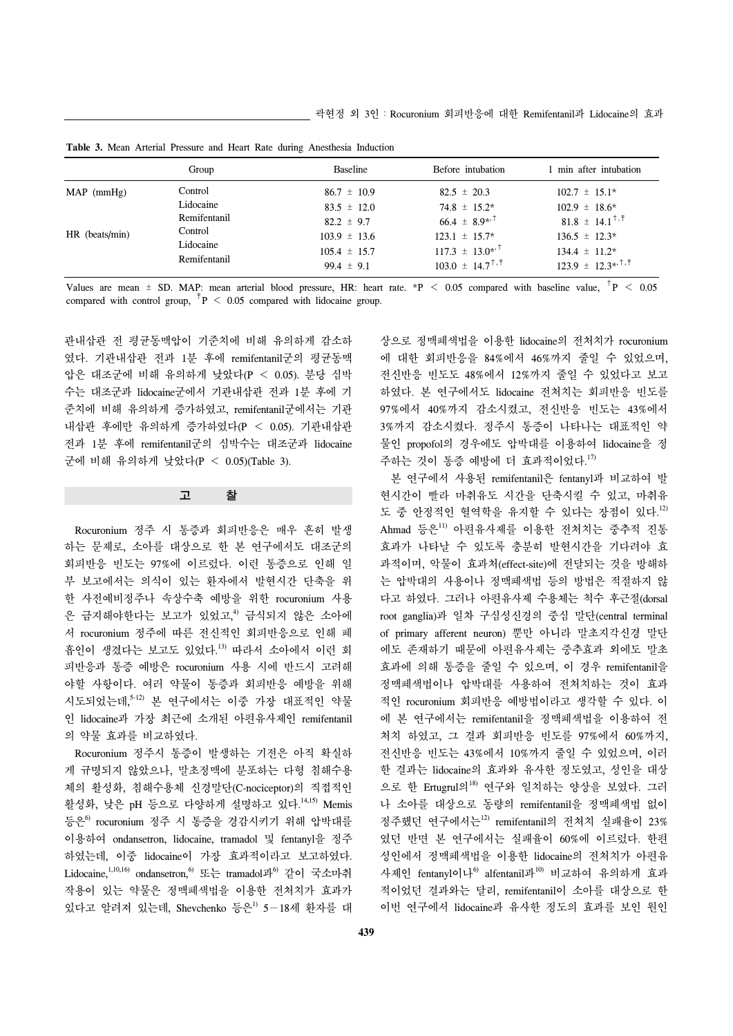|                | Group                     | <b>Baseline</b>                    | Before intubation                                          | 1 min after intubation                       |
|----------------|---------------------------|------------------------------------|------------------------------------------------------------|----------------------------------------------|
| $MAP$ (mmHg)   | Control                   | $86.7 \pm 10.9$                    | $82.5 \pm 20.3$                                            | $102.7 \pm 15.1*$                            |
|                | Lidocaine                 | $83.5 \pm 12.0$                    | $74.8 \pm 15.2^*$                                          | $102.9 \pm 18.6^*$                           |
|                | Remifentanil              | $82.2 \pm 9.7$                     | $66.4 \pm 8.9$ * <sup>+</sup>                              | $81.8 \pm 14.1^{\dagger,\dagger}$            |
| HR (beats/min) | Control                   | $103.9 \pm 13.6$                   | $123.1 \pm 15.7^*$                                         | $136.5 \pm 12.3*$                            |
|                | Lidocaine<br>Remifentanil | $105.4 \pm 15.7$<br>99.4 $\pm$ 9.1 | $117.3 \pm 13.0^{*}$<br>$103.0 \pm 14.7^{\dagger,\dagger}$ | $134.4 \pm 11.2^*$<br>$123.9 \pm 12.3^{*+1}$ |

**Table 3.** Mean Arterial Pressure and Heart Rate during Anesthesia Induction

Values are mean  $\pm$  SD. MAP: mean arterial blood pressure, HR: heart rate.  $*P < 0.05$  compared with baseline value,  $^{\dagger}P < 0.05$ compared with control group,  $^{\dagger}P$  < 0.05 compared with lidocaine group.

관내삽관 전 평균동맥압이 기준치에 비해 유의하게 감소하 였다. 기관내삽관 전과 1분 후에 remifentanil군의 평균동맥 압은 대조군에 비해 유의하게 낮았다(P < 0.05). 분당 심박 수는 대조군과 lidocaine군에서 기관내삽관 전과 1분 후에 기 준치에 비해 유의하게 증가하였고, remifentanil군에서는 기관 내삽관 후에만 유의하게 증가하였다(P < 0.05). 기관내삽관 전과 1분 후에 remifentanil군의 심박수는 대조군과 lidocaine 군에 비해 유의하게 낮았다(P < 0.05)(Table 3).

고 찰

 Rocuronium 정주 시 통증과 회피반응은 매우 흔히 발생 하는 문제로, 소아를 대상으로 한 본 연구에서도 대조군의 회피반응 빈도는 97%에 이르렀다. 이런 통증으로 인해 일 부 보고에서는 의식이 있는 환자에서 발현시간 단축을 위 한 사전예비정주나 속상수축 예방을 위한 rocuronium 사용 은 금지해야한다는 보고가 있었고, 4) 금식되지 않은 소아에 서 rocuronium 정주에 따른 전신적인 회피반응으로 인해 폐 흡인이 생겼다는 보고도 있었다. 13) 따라서 소아에서 이런 회 피반응과 통증 예방은 rocuronium 사용 시에 반드시 고려해 야할 사항이다. 여러 약물이 통증과 회피반응 예방을 위해 시도되었는데, 5-12) 본 연구에서는 이중 가장 대표적인 약물 인 lidocaine과 가장 최근에 소개된 아편유사제인 remifentanil 의 약물 효과를 비교하였다.

 Rocuronium 정주시 통증이 발생하는 기전은 아직 확실하 게 규명되지 않았으나, 말초정맥에 분포하는 다형 침해수용 체의 활성화, 침해수용체 신경말단(C-nociceptor)의 직접적인 활성화, 낮은 pH 등으로 다양하게 설명하고 있다. 14,15) Memis 등은6) rocuronium 정주 시 통증을 경감시키기 위해 압박대를 이용하여 ondansetron, lidocaine, tramadol 및 fentanyl을 정주 하였는데, 이중 lidocaine이 가장 효과적이라고 보고하였다. Lidocaine,<sup>1,10,16)</sup> ondansetron,<sup>6</sup> 또는 tramadol과<sup>6)</sup> 같이 국소마취 작용이 있는 약물은 정맥폐색법을 이용한 전처치가 효과가 있다고 알려져 있는데, Shevchenko 등은1) 5−18세 환자를 대

상으로 정맥폐색법을 이용한 lidocaine의 전처치가 rocuronium 에 대한 회피반응을 84%에서 46%까지 줄일 수 있었으며, 전신반응 빈도도 48%에서 12%까지 줄일 수 있었다고 보고 하였다. 본 연구에서도 lidocaine 전처치는 회피반응 빈도를 97%에서 40%까지 감소시켰고, 전신반응 빈도는 43%에서 3%까지 감소시켰다. 정주시 통증이 나타나는 대표적인 약 물인 propofol의 경우에도 압박대를 이용하여 lidocaine을 정 주하는 것이 통증 예방에 더 효과적이었다. 17)

 본 연구에서 사용된 remifentanil은 fentanyl과 비교하여 발 현시간이 빨라 마취유도 시간을 단축시킬 수 있고, 마취유 도 중 안정적인 혈역학을 유지할 수 있다는 장점이 있다. 12) Ahmad 등은<sup>11)</sup> 아편유사제를 이용한 전처치는 중추적 진통 효과가 나타날 수 있도록 충분히 발현시간을 기다려야 효 과적이며, 악물이 효과처(effect-site)에 전달되는 것을 방해하 는 압박대의 사용이나 정맥폐색법 등의 방법은 적절하지 않 다고 하였다. 그러나 아편유사제 수용체는 척수 후근절(dorsal root ganglia)과 일차 구심성신경의 중심 말단(central terminal of primary afferent neuron) 뿐만 아니라 말초지각신경 말단 에도 존재하기 때문에 아편유사제는 중추효과 외에도 말초 효과에 의해 통증을 줄일 수 있으며, 이 경우 remifentanil을 정맥폐색법이나 압박대를 사용하여 전처치하는 것이 효과 적인 rocuronium 회피반응 예방법이라고 생각할 수 있다. 이 에 본 연구에서는 remifentanil을 정맥폐색법을 이용하여 전 처치 하였고, 그 결과 회피반응 빈도를 97%에서 60%까지, 전신반응 빈도는 43%에서 10%까지 줄일 수 있었으며, 이러 한 결과는 lidocaine의 효과와 유사한 정도였고, 성인을 대상 으로 한 Ertugrul의<sup>18)</sup> 연구와 일치하는 양상을 보였다. 그러 나 소아를 대상으로 동량의 remifentanil을 정맥폐색법 없이 정주했던 연구에서는 $12$  remifentanil의 전처치 실패율이 23% 였던 반면 본 연구에서는 실패율이 60%에 이르렀다. 한편 성인에서 정맥폐색법을 이용한 lidocaine의 전처치가 아편유 사제인 fentanyl이나<sup>6)</sup> alfentanil과<sup>10)</sup> 비교하여 유의하게 효과 적이었던 결과와는 달리, remifentanil이 소아를 대상으로 한 이번 연구에서 lidocaine과 유사한 정도의 효과를 보인 원인